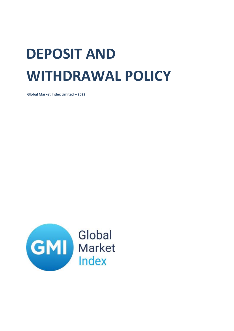## **DEPOSIT AND WITHDRAWAL POLICY**

**Global Market Index Limited – 2022**

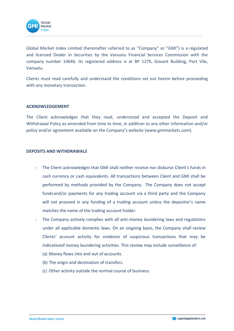

Global Market Index Limited (hereinafter referred to as "Company" or "GMI") is a regulated and licensed Dealer in Securities by the Vanuatu Financial Services Commission with the company number 14646. Its registered address is at BP 1276, Govant Building, Port Vila, Vanuatu.

Clients must read carefully and understand the conditions set out herein before proceeding with any monetary transaction.

## **ACKNOWLEDGEMENT**

The Client acknowledges that they read, understood and accepted the Deposit and Withdrawal Policy as amended from time to time, in addition to any other information and/or policy and/or agreement available on the Company's website ([www.gmimarkets.com\)](http://www.gmimarkets.com/).

## **DEPOSITS AND WITHDRAWALS**

- The Client acknowledges that GMI shall neither receive nor disburse Client's funds in cash currency or cash equivalents. All transactions between Client and GMI shall be performed by methods provided by the Company. The Company does not accept funds and/or payments for any trading account via a third party and the Company will not proceed in any funding of a trading account unless the depositor's name matches the name of the trading account holder.
- The Company actively complies with all anti-money laundering laws and regulations under all applicable domestic laws. On an ongoing basis, the Company shall review Clients' account activity for evidence of suspicious transactions that may be indicativeof money laundering activities. This review may include surveillance of:
	- (a) Money flows into and out of accounts.
	- (b) The origin and destination of transfers.
	- (c) Other activity outside the normal course of business.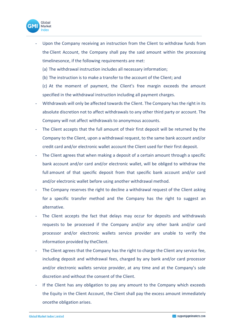

Upon the Company receiving an instruction from the Client to withdraw funds from the Client Account, the Company shall pay the said amount within the processing timelinesonce, if the following requirements are met:

(a) The withdrawal instruction includes all necessary information;

(b) The instruction is to make a transfer to the account of the Client; and

(c) At the moment of payment, the Client's free margin exceeds the amount specified in the withdrawal instruction including all payment charges.

- Withdrawals will only be affected towards the Client. The Company has the right in its absolute discretion not to affect withdrawals to any other third party or account. The Company will not affect withdrawals to anonymous accounts.
- The Client accepts that the full amount of their first deposit will be returned by the Company to the Client, upon a withdrawal request, to the same bank account and/or credit card and/or electronic wallet account the Client used for their first deposit.
- The Client agrees that when making a deposit of a certain amount through a specific bank account and/or card and/or electronic wallet, will be obliged to withdraw the full amount of that specific deposit from that specific bank account and/or card and/or electronic wallet before using another withdrawal method.
- The Company reserves the right to decline a withdrawal request of the Client asking for a specific transfer method and the Company has the right to suggest an alternative.
- The Client accepts the fact that delays may occur for deposits and withdrawals requests to be processed if the Company and/or any other bank and/or card processor and/or electronic wallets service provider are unable to verify the information provided by theClient.
- The Client agrees that the Company has the right to charge the Client any service fee, including deposit and withdrawal fees, charged by any bank and/or card processor and/or electronic wallets service provider, at any time and at the Company's sole discretion and without the consent of the Client.
- If the Client has any obligation to pay any amount to the Company which exceeds the Equity in the Client Account, the Client shall pay the excess amount immediately oncethe obligation arises.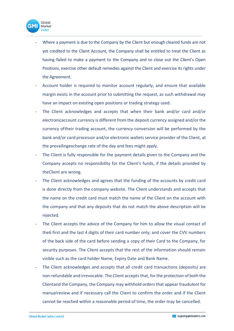

- Where a payment is due to the Company by the Client but enough cleared funds are not yet credited to the Client Account, the Company shall be entitled to treat the Client as having failed to make a payment to the Company and to close out the Client's Open Positions, exercise other default remedies against the Client and exercise its rights under the Agreement.
- Account holder is required to monitor account regularly, and ensure that available margin exists in the account prior to submitting the request, as such withdrawal may have an impact on existing open positions or trading strategy used.
- The Client acknowledges and accepts that when their bank and/or card and/or electronicaccount currency is different from the deposit currency assigned and/or the currency oftheir trading account, the currency conversion will be performed by the bank and/or card processor and/or electronic wallets service provider of the Client, at the prevailingexchange rate of the day and fees might apply.
- The Client is fully responsible for the payment details given to the Company and the Company accepts no responsibility for the Client's funds, if the details provided by theClient are wrong.
- The Client acknowledges and agrees that the funding of the accounts by credit card is done directly from the company website. The Client understands and accepts that the name on the credit card must match the name of the Client on the account with the company and that any deposits that do not match the above description will be rejected.
- The Client accepts the advice of the Company for him to allow the visual contact of the6 first and the last 4 digits of their card number only; and cover the CVV numbers of the back side of the card before sending a copy of their Card to the Company, for security purposes. The Client accepts that the rest of the information should remain visible such as the card holder Name, Expiry Date and Bank Name.
- The Client acknowledges and accepts that all credit card transactions (deposits) are non-refundable and irrevocable. The Client acceptsthat, forthe protection of both the Clientand the Company, the Company may withhold orders that appear fraudulent for manualreview and if necessary call the Client to confirm the order and if the Client cannot be reached within a reasonable period of time, the order may be cancelled.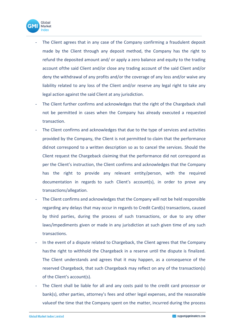

- The Client agrees that in any case of the Company confirming a fraudulent deposit made by the Client through any deposit method, the Company has the right to refund the deposited amount and/ or apply a zero balance and equity to the trading account ofthe said Client and/or close any trading account of the said Client and/or deny the withdrawal of any profits and/or the coverage of any loss and/or waive any liability related to any loss of the Client and/or reserve any legal right to take any legal action against the said Client at any jurisdiction.
- The Client further confirms and acknowledges that the right of the Chargeback shall not be permitted in cases when the Company has already executed a requested transaction.
- The Client confirms and acknowledges that due to the type of services and activities provided by the Company, the Client is not permitted to claim that the performance didnot correspond to a written description so as to cancel the services. Should the Client request the Chargeback claiming that the performance did not correspond as per the Client's instruction, the Client confirms and acknowledges that the Company has the right to provide any relevant entity/person, with the required documentation in regards to such Client's account(s), in order to prove any transactions/allegation.
- The Client confirms and acknowledges that the Company will not be held responsible regarding any delays that may occur in regards to Credit Card(s) transactions, caused by third parties, during the process of such transactions, or due to any other laws/impediments given or made in any jurisdiction at such given time of any such transactions.
- In the event of a dispute related to Chargeback, the Client agrees that the Company hasthe right to withhold the Chargeback in a reserve until the dispute is finalized. The Client understands and agrees that it may happen, as a consequence of the reserved Chargeback, that such Chargeback may reflect on any of the transaction(s) of the Client's account(s).
- The Client shall be liable for all and any costs paid to the credit card processor or bank(s), other parties, attorney's fees and other legal expenses, and the reasonable valueof the time that the Company spent on the matter, incurred during the process